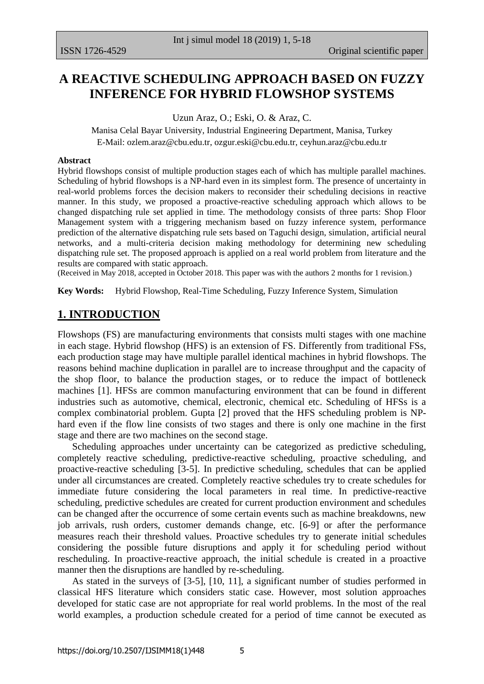# **A REACTIVE SCHEDULING APPROACH BASED ON FUZZY INFERENCE FOR HYBRID FLOWSHOP SYSTEMS**

Uzun Araz, O.; Eski, O. & Araz, C.

Manisa Celal Bayar University, Industrial Engineering Department, Manisa, Turkey E-Mail: [ozlem.araz@cbu.edu.tr,](mailto:ozlem.araz@cbu.edu.tr) [ozgur.eski@cbu.edu.tr,](mailto:ozgur.eski@cbu.edu.tr) [ceyhun.araz@cbu.edu.tr](mailto:ceyhun.araz@cbu.edu.tr)

#### **Abstract**

Hybrid flowshops consist of multiple production stages each of which has multiple parallel machines. Scheduling of hybrid flowshops is a NP-hard even in its simplest form. The presence of uncertainty in real-world problems forces the decision makers to reconsider their scheduling decisions in reactive manner. In this study, we proposed a proactive-reactive scheduling approach which allows to be changed dispatching rule set applied in time. The methodology consists of three parts: Shop Floor Management system with a triggering mechanism based on fuzzy inference system, performance prediction of the alternative dispatching rule sets based on Taguchi design, simulation, artificial neural networks, and a multi-criteria decision making methodology for determining new scheduling dispatching rule set. The proposed approach is applied on a real world problem from literature and the results are compared with static approach.

(Received in May 2018, accepted in October 2018. This paper was with the authors 2 months for 1 revision.)

**Key Words:** Hybrid Flowshop, Real-Time Scheduling, Fuzzy Inference System, Simulation

#### **1. INTRODUCTION**

Flowshops (FS) are manufacturing environments that consists multi stages with one machine in each stage. Hybrid flowshop (HFS) is an extension of FS. Differently from traditional FSs, each production stage may have multiple parallel identical machines in hybrid flowshops. The reasons behind machine duplication in parallel are to increase throughput and the capacity of the shop floor, to balance the production stages, or to reduce the impact of bottleneck machines [1]. HFSs are common manufacturing environment that can be found in different industries such as automotive, chemical, electronic, chemical etc. Scheduling of HFSs is a complex combinatorial problem. Gupta [2] proved that the HFS scheduling problem is NPhard even if the flow line consists of two stages and there is only one machine in the first stage and there are two machines on the second stage.

 Scheduling approaches under uncertainty can be categorized as predictive scheduling, completely reactive scheduling, predictive-reactive scheduling, proactive scheduling, and proactive-reactive scheduling [3-5]. In predictive scheduling, schedules that can be applied under all circumstances are created. Completely reactive schedules try to create schedules for immediate future considering the local parameters in real time. In predictive-reactive scheduling, predictive schedules are created for current production environment and schedules can be changed after the occurrence of some certain events such as machine breakdowns, new job arrivals, rush orders, customer demands change, etc. [6-9] or after the performance measures reach their threshold values. Proactive schedules try to generate initial schedules considering the possible future disruptions and apply it for scheduling period without rescheduling. In proactive-reactive approach, the initial schedule is created in a proactive manner then the disruptions are handled by re-scheduling.

 As stated in the surveys of [3-5], [10, 11], a significant number of studies performed in classical HFS literature which considers static case. However, most solution approaches developed for static case are not appropriate for real world problems. In the most of the real world examples, a production schedule created for a period of time cannot be executed as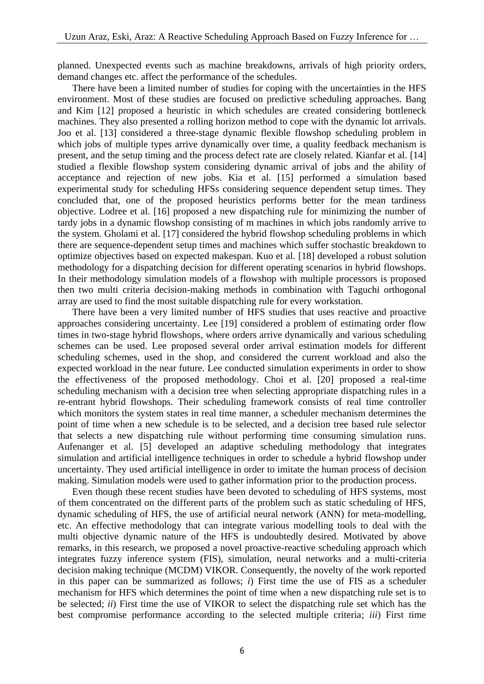planned. Unexpected events such as machine breakdowns, arrivals of high priority orders, demand changes etc. affect the performance of the schedules.

 There have been a limited number of studies for coping with the uncertainties in the HFS environment. Most of these studies are focused on predictive scheduling approaches. Bang and Kim [12] proposed a heuristic in which schedules are created considering bottleneck machines. They also presented a rolling horizon method to cope with the dynamic lot arrivals. Joo et al. [13] considered a three-stage dynamic flexible flowshop scheduling problem in which jobs of multiple types arrive dynamically over time, a quality feedback mechanism is present, and the setup timing and the process defect rate are closely related. Kianfar et al. [14] studied a flexible flowshop system considering dynamic arrival of jobs and the ability of acceptance and rejection of new jobs. Kia et al. [15] performed a simulation based experimental study for scheduling HFSs considering sequence dependent setup times. They concluded that, one of the proposed heuristics performs better for the mean tardiness objective. Lodree et al. [16] proposed a new dispatching rule for minimizing the number of tardy jobs in a dynamic flowshop consisting of m machines in which jobs randomly arrive to the system. Gholami et al. [17] considered the hybrid flowshop scheduling problems in which there are sequence-dependent setup times and machines which suffer stochastic breakdown to optimize objectives based on expected makespan. Kuo et al. [18] developed a robust solution methodology for a dispatching decision for different operating scenarios in hybrid flowshops. In their methodology simulation models of a flowshop with multiple processors is proposed then two multi criteria decision-making methods in combination with Taguchi orthogonal array are used to find the most suitable dispatching rule for every workstation.

 There have been a very limited number of HFS studies that uses reactive and proactive approaches considering uncertainty. Lee [19] considered a problem of estimating order flow times in two-stage hybrid flowshops, where orders arrive dynamically and various scheduling schemes can be used. Lee proposed several order arrival estimation models for different scheduling schemes, used in the shop, and considered the current workload and also the expected workload in the near future. Lee conducted simulation experiments in order to show the effectiveness of the proposed methodology. Choi et al. [20] proposed a real-time scheduling mechanism with a decision tree when selecting appropriate dispatching rules in a re-entrant hybrid flowshops. Their scheduling framework consists of real time controller which monitors the system states in real time manner, a scheduler mechanism determines the point of time when a new schedule is to be selected, and a decision tree based rule selector that selects a new dispatching rule without performing time consuming simulation runs. Aufenanger et al. [5] developed an adaptive scheduling methodology that integrates simulation and artificial intelligence techniques in order to schedule a hybrid flowshop under uncertainty. They used artificial intelligence in order to imitate the human process of decision making. Simulation models were used to gather information prior to the production process.

 Even though these recent studies have been devoted to scheduling of HFS systems, most of them concentrated on the different parts of the problem such as static scheduling of HFS, dynamic scheduling of HFS, the use of artificial neural network (ANN) for meta-modelling, etc. An effective methodology that can integrate various modelling tools to deal with the multi objective dynamic nature of the HFS is undoubtedly desired. Motivated by above remarks, in this research, we proposed a novel proactive-reactive scheduling approach which integrates fuzzy inference system (FIS), simulation, neural networks and a multi-criteria decision making technique (MCDM) VIKOR. Consequently, the novelty of the work reported in this paper can be summarized as follows; *i*) First time the use of FIS as a scheduler mechanism for HFS which determines the point of time when a new dispatching rule set is to be selected; *ii*) First time the use of VIKOR to select the dispatching rule set which has the best compromise performance according to the selected multiple criteria; *iii*) First time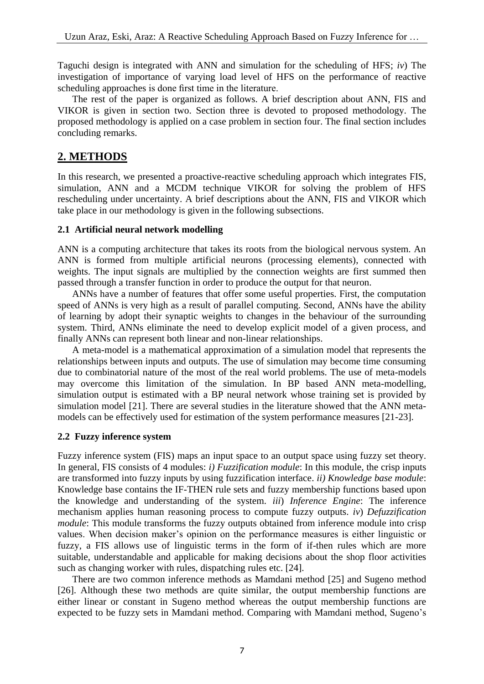Taguchi design is integrated with ANN and simulation for the scheduling of HFS; *iv*) The investigation of importance of varying load level of HFS on the performance of reactive scheduling approaches is done first time in the literature.

 The rest of the paper is organized as follows. A brief description about ANN, FIS and VIKOR is given in section two. Section three is devoted to proposed methodology. The proposed methodology is applied on a case problem in section four. The final section includes concluding remarks.

# **2. METHODS**

In this research, we presented a proactive-reactive scheduling approach which integrates FIS, simulation, ANN and a MCDM technique VIKOR for solving the problem of HFS rescheduling under uncertainty. A brief descriptions about the ANN, FIS and VIKOR which take place in our methodology is given in the following subsections.

### **2.1 Artificial neural network modelling**

ANN is a computing architecture that takes its roots from the biological nervous system. An ANN is formed from multiple artificial neurons (processing elements), connected with weights. The input signals are multiplied by the connection weights are first summed then passed through a transfer function in order to produce the output for that neuron.

 ANNs have a number of features that offer some useful properties. First, the computation speed of ANNs is very high as a result of parallel computing. Second, ANNs have the ability of learning by adopt their synaptic weights to changes in the behaviour of the surrounding system. Third, ANNs eliminate the need to develop explicit model of a given process, and finally ANNs can represent both linear and non-linear relationships.

 A meta-model is a mathematical approximation of a simulation model that represents the relationships between inputs and outputs. The use of simulation may become time consuming due to combinatorial nature of the most of the real world problems. The use of meta-models may overcome this limitation of the simulation. In BP based ANN meta-modelling, simulation output is estimated with a BP neural network whose training set is provided by simulation model [21]. There are several studies in the literature showed that the ANN metamodels can be effectively used for estimation of the system performance measures [21-23].

### **2.2 Fuzzy inference system**

Fuzzy inference system (FIS) maps an input space to an output space using fuzzy set theory. In general, FIS consists of 4 modules: *i) Fuzzification module*: In this module, the crisp inputs are transformed into fuzzy inputs by using fuzzification interface. *ii) Knowledge base module*: Knowledge base contains the IF-THEN rule sets and fuzzy membership functions based upon the knowledge and understanding of the system. *iii*) *Inference Engine*: The inference mechanism applies human reasoning process to compute fuzzy outputs. *iv*) *Defuzzification module*: This module transforms the fuzzy outputs obtained from inference module into crisp values. When decision maker's opinion on the performance measures is either linguistic or fuzzy, a FIS allows use of linguistic terms in the form of if-then rules which are more suitable, understandable and applicable for making decisions about the shop floor activities such as changing worker with rules, dispatching rules etc. [24].

 There are two common inference methods as Mamdani method [25] and Sugeno method [26]. Although these two methods are quite similar, the output membership functions are either linear or constant in Sugeno method whereas the output membership functions are expected to be fuzzy sets in Mamdani method. Comparing with Mamdani method, Sugeno's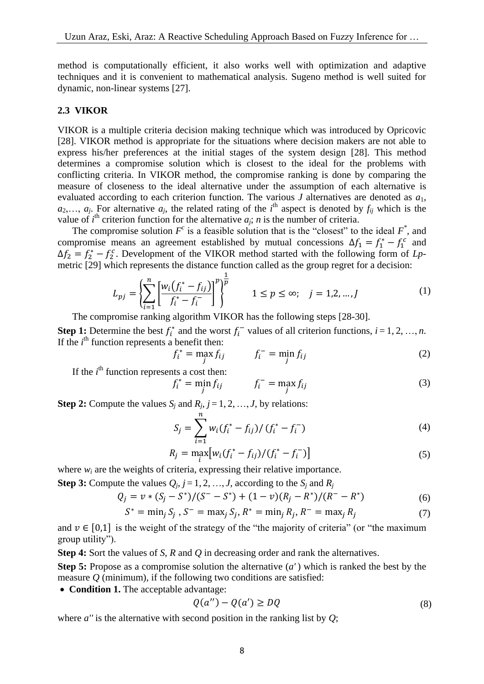method is computationally efficient, it also works well with optimization and adaptive techniques and it is convenient to mathematical analysis. Sugeno method is well suited for dynamic, non-linear systems [27].

#### **2.3 VIKOR**

VIKOR is a multiple criteria decision making technique which was introduced by Opricovic [28]. VIKOR method is appropriate for the situations where decision makers are not able to express his/her preferences at the initial stages of the system design [28]. This method determines a compromise solution which is closest to the ideal for the problems with conflicting criteria. In VIKOR method, the compromise ranking is done by comparing the measure of closeness to the ideal alternative under the assumption of each alternative is evaluated according to each criterion function. The various *J* alternatives are denoted as *a*1,  $a_2, \ldots, a_j$ . For alternative  $a_j$ , the related rating of the *i*<sup>th</sup> aspect is denoted by  $f_{ij}$  which is the value of  $i^{\text{th}}$  criterion function for the alternative  $a_j$ ; *n* is the number of criteria.

The compromise solution  $F^c$  is a feasible solution that is the "closest" to the ideal  $F^*$ , and compromise means an agreement established by mutual concessions  $\Delta f_1 = f_1^* - f_1^c$  and  $\Delta f_2 = f_2^* - f_2^c$ . Development of the VIKOR method started with the following form of *Lp*- $\frac{1}{2}$  and  $\frac{1}{2}$  are presents the distance function called as the group regret for a decision:

$$
L_{pj} = \left\{ \sum_{i=1}^{n} \left[ \frac{w_i (f_i^* - f_{ij})}{f_i^* - f_i^-} \right]^p \right\}^{\frac{1}{p}} \qquad 1 \le p \le \infty; \quad j = 1, 2, ..., J \tag{1}
$$

The compromise ranking algorithm VIKOR has the following steps [28-30].

**Step 1:** Determine the best  $f_i^*$  and the worst  $f_i^-$  values of all criterion functions,  $i = 1, 2, ..., n$ . If the  $i<sup>th</sup>$  function represents a benefit then:

$$
f_i^* = \max_j f_{ij} \qquad f_i^- = \min_j f_{ij} \qquad (2)
$$

If the  $i<sup>th</sup>$  function represents a cost then:

$$
f_i^* = \min_j f_{ij} \qquad f_i^- = \max_j f_{ij} \qquad (3)
$$

**Step 2:** Compute the values  $S_j$  and  $R_j$ ,  $j = 1, 2, ..., J$ , by relations:

$$
S_j = \sum_{i=1}^{n} w_i (f_i^* - f_{ij}) / (f_i^* - f_i^-)
$$
\n(4)

$$
R_j = \max_i \left[ w_i (f_i^* - f_{ij}) / (f_i^* - f_i^-) \right]
$$
\n(5)

where  $w_i$  are the weights of criteria, expressing their relative importance.

**Step 3:** Compute the values  $Q_i$ ,  $j = 1, 2, ..., J$ , according to the  $S_i$  and  $R_j$ 

$$
Q_j = v * (S_j - S^*)/(S^- - S^*) + (1 - v)(R_j - R^*)/(R^- - R^*)
$$
\n(6)

$$
S^* = \min_j S_j, S^- = \max_j S_j, R^* = \min_j R_j, R^- = \max_j R_j \tag{7}
$$

and  $v \in [0,1]$  is the weight of the strategy of the "the majority of criteria" (or "the maximum group utility").

**Step 4:** Sort the values of *S*, *R* and *Q* in decreasing order and rank the alternatives.

**Step 5:** Propose as a compromise solution the alternative (*a'* ) which is ranked the best by the measure *Q* (minimum), if the following two conditions are satisfied:

• **Condition 1.** The acceptable advantage:

$$
Q(a'') - Q(a') \ge DQ \tag{8}
$$

where *a''* is the alternative with second position in the ranking list by *Q*;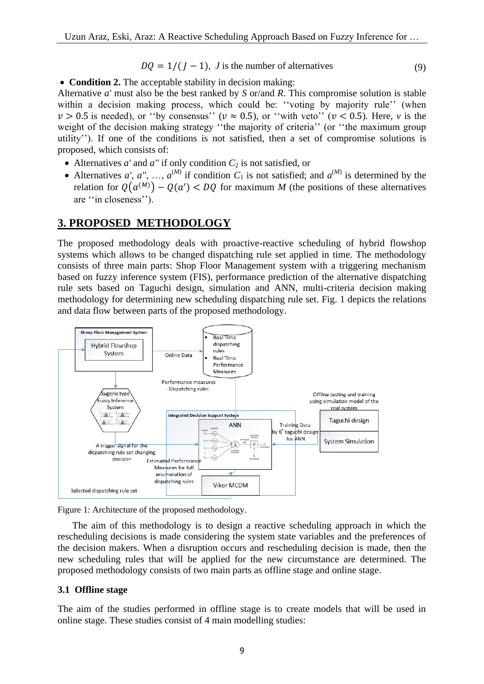$$
DQ = 1/(J - 1), J \text{ is the number of alternatives} \tag{9}
$$

**Condition 2.** The acceptable stability in decision making:

Alternative *a'* must also be the best ranked by *S* or/and *R*. This compromise solution is stable within a decision making process, which could be: "voting by majority rule" (when  $v > 0.5$  is needed), or "by consensus" ( $v \approx 0.5$ ), or "with veto" ( $v < 0.5$ ). Here, v is the weight of the decision making strategy "the majority of criteria" (or "the maximum group utility''). If one of the conditions is not satisfied, then a set of compromise solutions is proposed, which consists of:

- Alternatives  $a'$  and  $a''$  if only condition  $C_2$  is not satisfied, or
- Alternatives *a'*, *a''*, ...,  $a^{(M)}$  if condition  $C_1$  is not satisfied; and  $a^{(M)}$  is determined by the relation for  $Q(a^{(M)}) - Q(a') < DQ$  for maximum *M* (the positions of these alternatives are ''in closeness'').

## **3. PROPOSED METHODOLOGY**

The proposed methodology deals with proactive-reactive scheduling of hybrid flowshop systems which allows to be changed dispatching rule set applied in time. The methodology consists of three main parts: Shop Floor Management system with a triggering mechanism based on fuzzy inference system (FIS), performance prediction of the alternative dispatching rule sets based on Taguchi design, simulation and ANN, multi-criteria decision making methodology for determining new scheduling dispatching rule set. Fig. 1 depicts the relations and data flow between parts of the proposed methodology.



Figure 1: Architecture of the proposed methodology.

 The aim of this methodology is to design a reactive scheduling approach in which the rescheduling decisions is made considering the system state variables and the preferences of the decision makers. When a disruption occurs and rescheduling decision is made, then the new scheduling rules that will be applied for the new circumstance are determined. The proposed methodology consists of two main parts as offline stage and online stage.

### **3.1 Offline stage**

The aim of the studies performed in offline stage is to create models that will be used in online stage. These studies consist of 4 main modelling studies: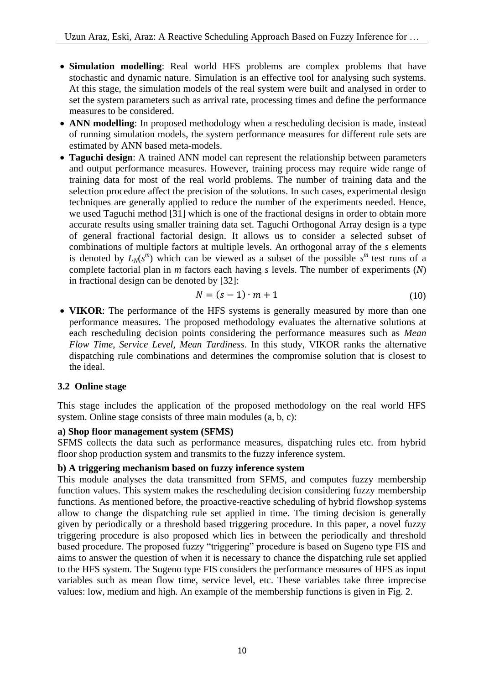- **Simulation modelling**: Real world HFS problems are complex problems that have stochastic and dynamic nature. Simulation is an effective tool for analysing such systems. At this stage, the simulation models of the real system were built and analysed in order to set the system parameters such as arrival rate, processing times and define the performance measures to be considered.
- **ANN modelling**: In proposed methodology when a rescheduling decision is made, instead of running simulation models, the system performance measures for different rule sets are estimated by ANN based meta-models.
- **Taguchi design**: A trained ANN model can represent the relationship between parameters and output performance measures. However, training process may require wide range of training data for most of the real world problems. The number of training data and the selection procedure affect the precision of the solutions. In such cases, experimental design techniques are generally applied to reduce the number of the experiments needed. Hence, we used Taguchi method [31] which is one of the fractional designs in order to obtain more accurate results using smaller training data set. Taguchi Orthogonal Array design is a type of general fractional factorial design. It allows us to consider a selected subset of combinations of multiple factors at multiple levels. An orthogonal array of the *s* elements is denoted by  $L_N(s^m)$  which can be viewed as a subset of the possible  $s^m$  test runs of a complete factorial plan in *m* factors each having *s* levels. The number of experiments (*N*) in fractional design can be denoted by [32]:

$$
N = (s-1) \cdot m + 1 \tag{10}
$$

 **VIKOR**: The performance of the HFS systems is generally measured by more than one performance measures. The proposed methodology evaluates the alternative solutions at each rescheduling decision points considering the performance measures such as *Mean Flow Time*, *Service Level*, *Mean Tardiness*. In this study, VIKOR ranks the alternative dispatching rule combinations and determines the compromise solution that is closest to the ideal.

### **3.2 Online stage**

This stage includes the application of the proposed methodology on the real world HFS system. Online stage consists of three main modules (a, b, c):

### **a) Shop floor management system (SFMS)**

SFMS collects the data such as performance measures, dispatching rules etc. from hybrid floor shop production system and transmits to the fuzzy inference system.

### **b) A triggering mechanism based on fuzzy inference system**

This module analyses the data transmitted from SFMS, and computes fuzzy membership function values. This system makes the rescheduling decision considering fuzzy membership functions. As mentioned before, the proactive-reactive scheduling of hybrid flowshop systems allow to change the dispatching rule set applied in time. The timing decision is generally given by periodically or a threshold based triggering procedure. In this paper, a novel fuzzy triggering procedure is also proposed which lies in between the periodically and threshold based procedure. The proposed fuzzy "triggering" procedure is based on Sugeno type FIS and aims to answer the question of when it is necessary to chance the dispatching rule set applied to the HFS system. The Sugeno type FIS considers the performance measures of HFS as input variables such as mean flow time, service level, etc. These variables take three imprecise values: low, medium and high. An example of the membership functions is given in Fig. 2.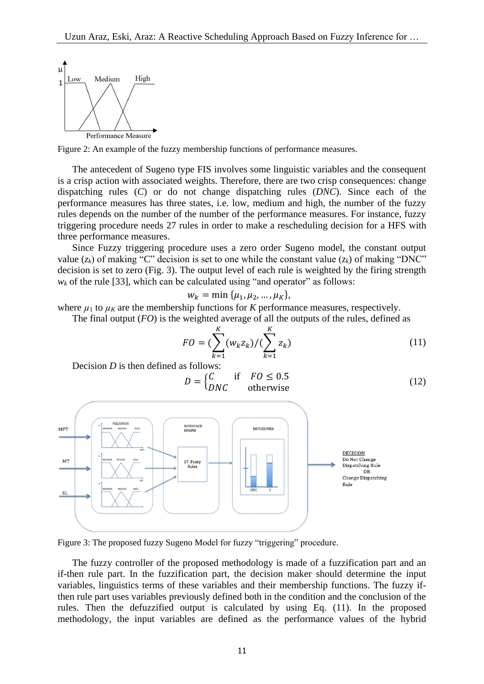

Figure 2: An example of the fuzzy membership functions of performance measures.

 The antecedent of Sugeno type FIS involves some linguistic variables and the consequent is a crisp action with associated weights. Therefore, there are two crisp consequences: change dispatching rules (*C*) or do not change dispatching rules (*DNC*). Since each of the performance measures has three states, i.e. low, medium and high, the number of the fuzzy rules depends on the number of the number of the performance measures. For instance, fuzzy triggering procedure needs 27 rules in order to make a rescheduling decision for a HFS with three performance measures.

 Since Fuzzy triggering procedure uses a zero order Sugeno model, the constant output value  $(z_k)$  of making "C" decision is set to one while the constant value  $(z_k)$  of making "DNC" decision is set to zero (Fig. 3). The output level of each rule is weighted by the firing strength  $w_k$  of the rule [33], which can be calculated using "and operator" as follows:

$$
w_k = \min \{ \mu_1, \mu_2, ..., \mu_K \},
$$

where  $\mu_1$  to  $\mu_K$  are the membership functions for *K* performance measures, respectively.

The final output (*FO*) is the weighted average of all the outputs of the rules, defined as

$$
FO = (\sum_{k=1}^{K} (w_k z_k) / (\sum_{k=1}^{K} z_k)
$$
 (11)

Decision *D* is then defined as follows:

$$
D = \begin{cases} C & \text{if } FO \le 0.5\\ DNC & \text{otherwise} \end{cases}
$$
 (12)



Figure 3: The proposed fuzzy Sugeno Model for fuzzy "triggering" procedure.

 The fuzzy controller of the proposed methodology is made of a fuzzification part and an if-then rule part. In the fuzzification part, the decision maker should determine the input variables, linguistics terms of these variables and their membership functions. The fuzzy ifthen rule part uses variables previously defined both in the condition and the conclusion of the rules. Then the defuzzified output is calculated by using Eq. (11). In the proposed methodology, the input variables are defined as the performance values of the hybrid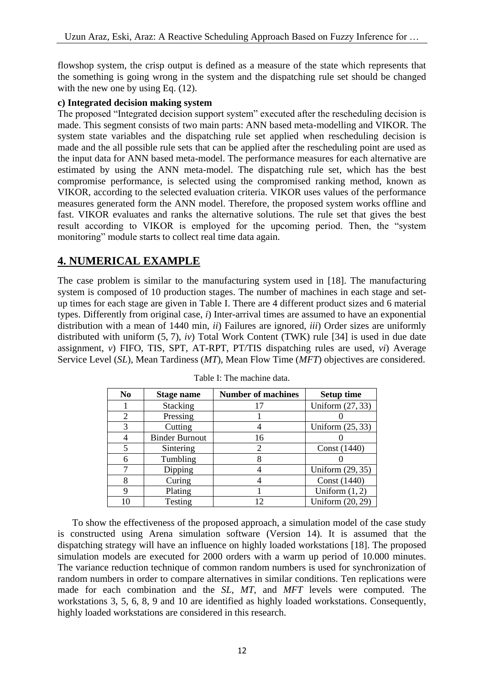flowshop system, the crisp output is defined as a measure of the state which represents that the something is going wrong in the system and the dispatching rule set should be changed with the new one by using Eq.  $(12)$ .

#### **c) Integrated decision making system**

The proposed "Integrated decision support system" executed after the rescheduling decision is made. This segment consists of two main parts: ANN based meta-modelling and VIKOR. The system state variables and the dispatching rule set applied when rescheduling decision is made and the all possible rule sets that can be applied after the rescheduling point are used as the input data for ANN based meta-model. The performance measures for each alternative are estimated by using the ANN meta-model. The dispatching rule set, which has the best compromise performance, is selected using the compromised ranking method, known as VIKOR, according to the selected evaluation criteria. VIKOR uses values of the performance measures generated form the ANN model. Therefore, the proposed system works offline and fast. VIKOR evaluates and ranks the alternative solutions. The rule set that gives the best result according to VIKOR is employed for the upcoming period. Then, the "system monitoring" module starts to collect real time data again.

## **4. NUMERICAL EXAMPLE**

The case problem is similar to the manufacturing system used in [18]. The manufacturing system is composed of 10 production stages. The number of machines in each stage and setup times for each stage are given in Table I. There are 4 different product sizes and 6 material types. Differently from original case, *i*) Inter-arrival times are assumed to have an exponential distribution with a mean of 1440 min, *ii*) Failures are ignored, *iii*) Order sizes are uniformly distributed with uniform (5, 7), *iv*) Total Work Content (TWK) rule [34] is used in due date assignment, *v*) FIFO, TIS, SPT, AT-RPT, PT/TIS dispatching rules are used, *vi*) Average Service Level (*SL*), Mean Tardiness (*MT*), Mean Flow Time (*MFT*) objectives are considered.

| N <sub>0</sub> | Stage name            | <b>Number of machines</b> | <b>Setup time</b>  |
|----------------|-----------------------|---------------------------|--------------------|
|                | <b>Stacking</b>       |                           | Uniform (27, 33)   |
|                | Pressing              |                           |                    |
| 3              | Cutting               |                           | Uniform $(25, 33)$ |
|                | <b>Binder Burnout</b> | 16                        |                    |
|                | Sintering             | 2                         | Const (1440)       |
| 6              | Tumbling              |                           |                    |
|                | Dipping               |                           | Uniform (29, 35)   |
|                | Curing                |                           | Const (1440)       |
| 9              | Plating               |                           | Uniform $(1, 2)$   |
|                | Testing               |                           | Uniform (20, 29)   |

Table I: The machine data.

 To show the effectiveness of the proposed approach, a simulation model of the case study is constructed using Arena simulation software (Version 14). It is assumed that the dispatching strategy will have an influence on highly loaded workstations [18]. The proposed simulation models are executed for 2000 orders with a warm up period of 10.000 minutes. The variance reduction technique of common random numbers is used for synchronization of random numbers in order to compare alternatives in similar conditions. Ten replications were made for each combination and the *SL*, *MT*, and *MFT* levels were computed. The workstations 3, 5, 6, 8, 9 and 10 are identified as highly loaded workstations. Consequently, highly loaded workstations are considered in this research.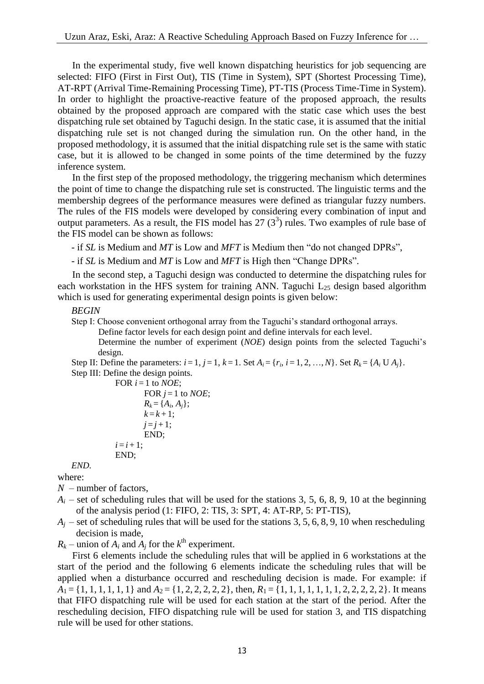In the experimental study, five well known dispatching heuristics for job sequencing are selected: FIFO (First in First Out), TIS (Time in System), SPT (Shortest Processing Time), AT-RPT (Arrival Time-Remaining Processing Time), PT-TIS (Process Time-Time in System). In order to highlight the proactive-reactive feature of the proposed approach, the results obtained by the proposed approach are compared with the static case which uses the best dispatching rule set obtained by Taguchi design. In the static case, it is assumed that the initial dispatching rule set is not changed during the simulation run. On the other hand, in the proposed methodology, it is assumed that the initial dispatching rule set is the same with static case, but it is allowed to be changed in some points of the time determined by the fuzzy inference system.

 In the first step of the proposed methodology, the triggering mechanism which determines the point of time to change the dispatching rule set is constructed. The linguistic terms and the membership degrees of the performance measures were defined as triangular fuzzy numbers. The rules of the FIS models were developed by considering every combination of input and output parameters. As a result, the FIS model has  $27(3^3)$  rules. Two examples of rule base of the FIS model can be shown as follows:

- if *SL* is Medium and *MT* is Low and *MFT* is Medium then "do not changed DPRs",

- if *SL* is Medium and *MT* is Low and *MFT* is High then "Change DPRs".

 In the second step, a Taguchi design was conducted to determine the dispatching rules for each workstation in the HFS system for training ANN. Taguchi  $L_{25}$  design based algorithm which is used for generating experimental design points is given below:

#### *BEGIN*

Step I: Choose convenient orthogonal array from the Taguchi's standard orthogonal arrays.

Define factor levels for each design point and define intervals for each level.

 Determine the number of experiment (*NOE*) design points from the selected Taguchi's design.

Step II: Define the parameters:  $i = 1, j = 1, k = 1$ . Set  $A_i = \{r_i, i = 1, 2, ..., N\}$ . Set  $R_k = \{A_i \cup A_j\}$ . Step III: Define the design points.

FOR 
$$
i = 1
$$
 to *NOE*;

```
FOR j = 1 to NOE;
         R_k = \{A_i, A_j\};k = k + 1;
        j = j + 1;END;
i = i + 1;
END;
```
*END.* where:

- *N* number of factors,
- $A_i$  set of scheduling rules that will be used for the stations 3, 5, 6, 8, 9, 10 at the beginning of the analysis period (1: FIFO, 2: TIS, 3: SPT, 4: AT-RP, 5: PT-TIS),
- $A_i$  set of scheduling rules that will be used for the stations 3, 5, 6, 8, 9, 10 when rescheduling decision is made,

 $R_k$  – union of  $A_i$  and  $A_j$  for the  $k^{\text{th}}$  experiment.

 First 6 elements include the scheduling rules that will be applied in 6 workstations at the start of the period and the following 6 elements indicate the scheduling rules that will be applied when a disturbance occurred and rescheduling decision is made. For example: if  $A_1 = \{1, 1, 1, 1, 1, 1\}$  and  $A_2 = \{1, 2, 2, 2, 2, 2\}$ , then,  $R_1 = \{1, 1, 1, 1, 1, 1, 2, 2, 2, 2, 2\}$ . It means that FIFO dispatching rule will be used for each station at the start of the period. After the rescheduling decision, FIFO dispatching rule will be used for station 3, and TIS dispatching rule will be used for other stations.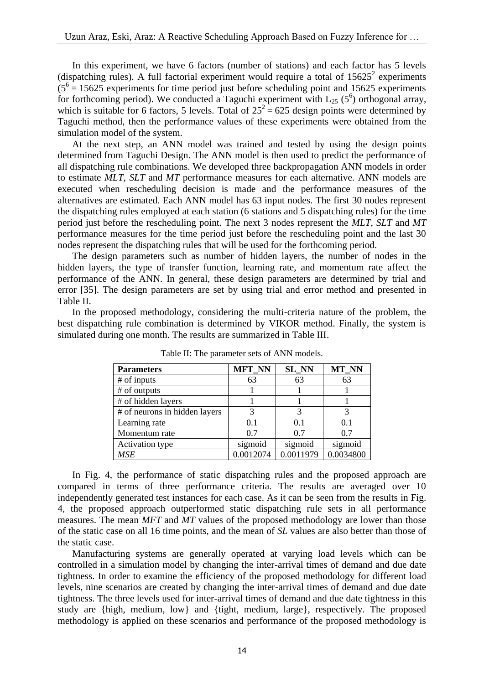In this experiment, we have 6 factors (number of stations) and each factor has 5 levels (dispatching rules). A full factorial experiment would require a total of  $15625^2$  experiments  $(5<sup>6</sup> = 15625$  experiments for time period just before scheduling point and 15625 experiments for forthcoming period). We conducted a Taguchi experiment with  $L_{25}$  (5<sup>6</sup>) orthogonal array, which is suitable for 6 factors, 5 levels. Total of  $25^2 = 625$  design points were determined by Taguchi method, then the performance values of these experiments were obtained from the simulation model of the system.

 At the next step, an ANN model was trained and tested by using the design points determined from Taguchi Design. The ANN model is then used to predict the performance of all dispatching rule combinations. We developed three backpropagation ANN models in order to estimate *MLT*, *SLT* and *MT* performance measures for each alternative. ANN models are executed when rescheduling decision is made and the performance measures of the alternatives are estimated. Each ANN model has 63 input nodes. The first 30 nodes represent the dispatching rules employed at each station (6 stations and 5 dispatching rules) for the time period just before the rescheduling point. The next 3 nodes represent the *MLT*, *SLT* and *MT* performance measures for the time period just before the rescheduling point and the last 30 nodes represent the dispatching rules that will be used for the forthcoming period.

 The design parameters such as number of hidden layers, the number of nodes in the hidden layers, the type of transfer function, learning rate, and momentum rate affect the performance of the ANN. In general, these design parameters are determined by trial and error [35]. The design parameters are set by using trial and error method and presented in Table II.

 In the proposed methodology, considering the multi-criteria nature of the problem, the best dispatching rule combination is determined by VIKOR method. Finally, the system is simulated during one month. The results are summarized in Table III.

| <b>Parameters</b>             | <b>MFT_NN</b> | <b>SL_NN</b> | <b>MT_NN</b> |
|-------------------------------|---------------|--------------|--------------|
| # of inputs                   | 63            | 63           | 63           |
| # of outputs                  |               |              |              |
| # of hidden layers            |               |              |              |
| # of neurons in hidden layers |               |              |              |
| Learning rate                 | 0.1           | 0.1          | 0.1          |
| Momentum rate                 | 0.7           | 0.7          | 0.7          |
| Activation type               | sigmoid       | sigmoid      | sigmoid      |
| MSE                           | 0.0012074     | 0.0011979    | 0.0034800    |

Table II: The parameter sets of ANN models.

 In Fig. 4, the performance of static dispatching rules and the proposed approach are compared in terms of three performance criteria. The results are averaged over 10 independently generated test instances for each case. As it can be seen from the results in Fig. 4, the proposed approach outperformed static dispatching rule sets in all performance measures. The mean *MFT* and *MT* values of the proposed methodology are lower than those of the static case on all 16 time points, and the mean of *SL* values are also better than those of the static case.

 Manufacturing systems are generally operated at varying load levels which can be controlled in a simulation model by changing the inter-arrival times of demand and due date tightness. In order to examine the efficiency of the proposed methodology for different load levels, nine scenarios are created by changing the inter-arrival times of demand and due date tightness. The three levels used for inter-arrival times of demand and due date tightness in this study are {high, medium, low} and {tight, medium, large}, respectively. The proposed methodology is applied on these scenarios and performance of the proposed methodology is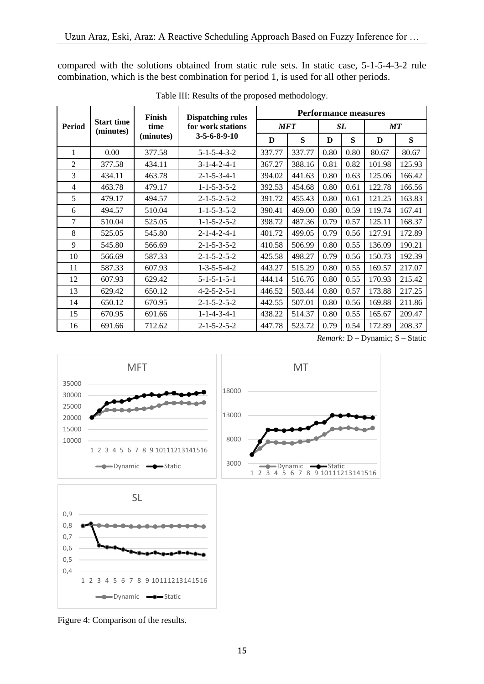compared with the solutions obtained from static rule sets. In static case, 5-1-5-4-3-2 rule combination, which is the best combination for period 1, is used for all other periods.

|                | <b>Start time</b><br>(minutes) | <b>Finish</b><br>time | <b>Dispatching rules</b> | <b>Performance measures</b> |        |      |      |        |        |
|----------------|--------------------------------|-----------------------|--------------------------|-----------------------------|--------|------|------|--------|--------|
| Period         |                                |                       | for work stations        | <b>MFT</b>                  |        | SL   |      | MT     |        |
|                |                                | (minutes)             | $3 - 5 - 6 - 8 - 9 - 10$ | D                           | S      | D    | S    | D      | S      |
| 1              | 0.00                           | 377.58                | $5 - 1 - 5 - 4 - 3 - 2$  | 337.77                      | 337.77 | 0.80 | 0.80 | 80.67  | 80.67  |
| $\overline{2}$ | 377.58                         | 434.11                | $3 - 1 - 4 - 2 - 4 - 1$  | 367.27                      | 388.16 | 0.81 | 0.82 | 101.98 | 125.93 |
| 3              | 434.11                         | 463.78                | $2 - 1 - 5 - 3 - 4 - 1$  | 394.02                      | 441.63 | 0.80 | 0.63 | 125.06 | 166.42 |
| $\overline{4}$ | 463.78                         | 479.17                | $1 - 1 - 5 - 3 - 5 - 2$  | 392.53                      | 454.68 | 0.80 | 0.61 | 122.78 | 166.56 |
| 5              | 479.17                         | 494.57                | $2 - 1 - 5 - 2 - 5 - 2$  | 391.72                      | 455.43 | 0.80 | 0.61 | 121.25 | 163.83 |
| 6              | 494.57                         | 510.04                | $1 - 1 - 5 - 3 - 5 - 2$  | 390.41                      | 469.00 | 0.80 | 0.59 | 119.74 | 167.41 |
| 7              | 510.04                         | 525.05                | $1 - 1 - 5 - 2 - 5 - 2$  | 398.72                      | 487.36 | 0.79 | 0.57 | 125.11 | 168.37 |
| 8              | 525.05                         | 545.80                | $2 - 1 - 4 - 2 - 4 - 1$  | 401.72                      | 499.05 | 0.79 | 0.56 | 127.91 | 172.89 |
| 9              | 545.80                         | 566.69                | $2 - 1 - 5 - 3 - 5 - 2$  | 410.58                      | 506.99 | 0.80 | 0.55 | 136.09 | 190.21 |
| 10             | 566.69                         | 587.33                | $2 - 1 - 5 - 2 - 5 - 2$  | 425.58                      | 498.27 | 0.79 | 0.56 | 150.73 | 192.39 |
| 11             | 587.33                         | 607.93                | $1 - 3 - 5 - 5 - 4 - 2$  | 443.27                      | 515.29 | 0.80 | 0.55 | 169.57 | 217.07 |
| 12             | 607.93                         | 629.42                | $5 - 1 - 5 - 1 - 5 - 1$  | 444.14                      | 516.76 | 0.80 | 0.55 | 170.93 | 215.42 |
| 13             | 629.42                         | 650.12                | $4 - 2 - 5 - 2 - 5 - 1$  | 446.52                      | 503.44 | 0.80 | 0.57 | 173.88 | 217.25 |
| 14             | 650.12                         | 670.95                | $2 - 1 - 5 - 2 - 5 - 2$  | 442.55                      | 507.01 | 0.80 | 0.56 | 169.88 | 211.86 |
| 15             | 670.95                         | 691.66                | $1 - 1 - 4 - 3 - 4 - 1$  | 438.22                      | 514.37 | 0.80 | 0.55 | 165.67 | 209.47 |
| 16             | 691.66                         | 712.62                | $2 - 1 - 5 - 2 - 5 - 2$  | 447.78                      | 523.72 | 0.79 | 0.54 | 172.89 | 208.37 |

Table III: Results of the proposed methodology.

*Remark:* D – Dynamic; S – Static



Figure 4: Comparison of the results.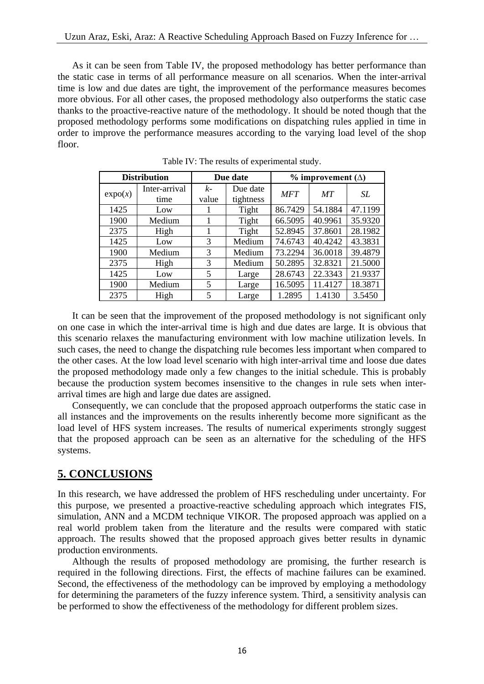As it can be seen from Table IV, the proposed methodology has better performance than the static case in terms of all performance measure on all scenarios. When the inter-arrival time is low and due dates are tight, the improvement of the performance measures becomes more obvious. For all other cases, the proposed methodology also outperforms the static case thanks to the proactive-reactive nature of the methodology. It should be noted though that the proposed methodology performs some modifications on dispatching rules applied in time in order to improve the performance measures according to the varying load level of the shop floor.

| <b>Distribution</b> |                       | Due date    |                       | $\%$ improvement ( $\triangle$ ) |         |         |  |
|---------------------|-----------------------|-------------|-----------------------|----------------------------------|---------|---------|--|
| expo(x)             | Inter-arrival<br>time | k-<br>value | Due date<br>tightness | <b>MFT</b>                       | MT      | SL.     |  |
| 1425                | Low                   |             | Tight                 | 86.7429                          | 54.1884 | 47.1199 |  |
| 1900                | Medium                |             | Tight                 | 66.5095                          | 40.9961 | 35.9320 |  |
| 2375                | High                  |             | Tight                 | 52.8945                          | 37.8601 | 28.1982 |  |
| 1425                | Low                   | 3           | Medium                | 74.6743                          | 40.4242 | 43.3831 |  |
| 1900                | Medium                | 3           | Medium                | 73.2294                          | 36.0018 | 39.4879 |  |
| 2375                | High                  | 3           | Medium                | 50.2895                          | 32.8321 | 21.5000 |  |
| 1425                | Low                   | 5           | Large                 | 28.6743                          | 22.3343 | 21.9337 |  |
| 1900                | Medium                | 5           | Large                 | 16.5095                          | 11.4127 | 18.3871 |  |
| 2375                | High                  | 5           | Large                 | 1.2895                           | 1.4130  | 3.5450  |  |

Table IV: The results of experimental study.

 It can be seen that the improvement of the proposed methodology is not significant only on one case in which the inter-arrival time is high and due dates are large. It is obvious that this scenario relaxes the manufacturing environment with low machine utilization levels. In such cases, the need to change the dispatching rule becomes less important when compared to the other cases. At the low load level scenario with high inter-arrival time and loose due dates the proposed methodology made only a few changes to the initial schedule. This is probably because the production system becomes insensitive to the changes in rule sets when interarrival times are high and large due dates are assigned.

 Consequently, we can conclude that the proposed approach outperforms the static case in all instances and the improvements on the results inherently become more significant as the load level of HFS system increases. The results of numerical experiments strongly suggest that the proposed approach can be seen as an alternative for the scheduling of the HFS systems.

## **5. CONCLUSIONS**

In this research, we have addressed the problem of HFS rescheduling under uncertainty. For this purpose, we presented a proactive-reactive scheduling approach which integrates FIS, simulation, ANN and a MCDM technique VIKOR. The proposed approach was applied on a real world problem taken from the literature and the results were compared with static approach. The results showed that the proposed approach gives better results in dynamic production environments.

 Although the results of proposed methodology are promising, the further research is required in the following directions. First, the effects of machine failures can be examined. Second, the effectiveness of the methodology can be improved by employing a methodology for determining the parameters of the fuzzy inference system. Third, a sensitivity analysis can be performed to show the effectiveness of the methodology for different problem sizes.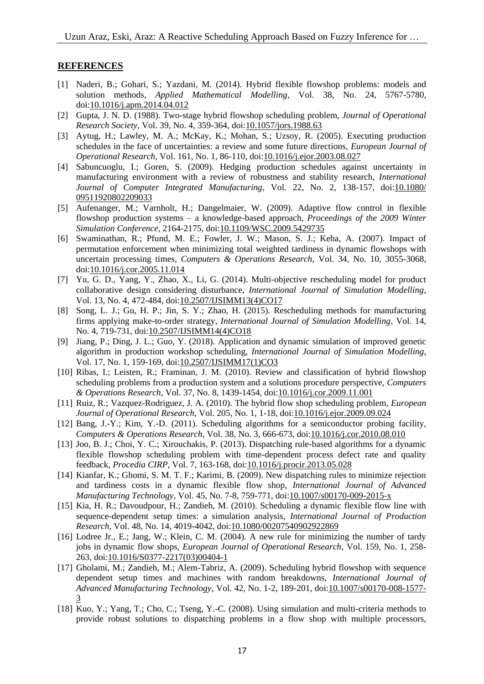#### **REFERENCES**

- [1] Naderi, B.; Gohari, S.; Yazdani, M. (2014). Hybrid flexible flowshop problems: models and solution methods, *Applied Mathematical Modelling*, Vol. 38, No. 24, 5767-5780, doi[:10.1016/j.apm.2014.04.012](https://doi.org/10.1016/j.apm.2014.04.012)
- [2] Gupta, J. N. D. (1988). Two-stage hybrid flowshop scheduling problem, *Journal of Operational Research Society*, Vol. 39, No. 4, 359-364, doi[:10.1057/jors.1988.63](https://doi.org/10.1057/jors.1988.63)
- [3] Aytug, H.; Lawley, M. A.; McKay, K.; Mohan, S.; Uzsoy, R. (2005). Executing production schedules in the face of uncertainties: a review and some future directions, *European Journal of Operational Research*, Vol. 161, No. 1, 86-110, doi[:10.1016/j.ejor.2003.08.027](https://doi.org/10.1016/j.ejor.2003.08.027)
- [4] Sabuncuoglu, I.; Goren, S. (2009). Hedging production schedules against uncertainty in manufacturing environment with a review of robustness and stability research, *International Journal of Computer Integrated Manufacturing*, Vol. 22, No. 2, 138-157, doi[:10.1080/](https://doi.org/10.1080/09511920802209033) [09511920802209033](https://doi.org/10.1080/09511920802209033)
- [5] Aufenanger, M.; Varnholt, H.; Dangelmaier, W. (2009). Adaptive flow control in flexible flowshop production systems – a knowledge-based approach, *Proceedings of the 2009 Winter Simulation Conference*, 2164-2175, doi[:10.1109/WSC.2009.5429735](https://doi.org/10.1109/WSC.2009.5429735)
- [6] Swaminathan, R.; Pfund, M. E.; Fowler, J. W.; Mason, S. J.; Keha, A. (2007). Impact of permutation enforcement when minimizing total weighted tardiness in dynamic flowshops with uncertain processing times, *Computers & Operations Research*, Vol. 34, No. 10, 3055-3068, doi[:10.1016/j.cor.2005.11.014](https://doi.org/10.1016/j.cor.2005.11.014)
- [7] Yu, G. D., Yang, Y., Zhao, X., Li, G. (2014). Multi-objective rescheduling model for product collaborative design considering disturbance, *International Journal of Simulation Modelling*, Vol. 13, No. 4, 472-484, doi[:10.2507/IJSIMM13\(4\)CO17](https://doi.org/10.2507/IJSIMM13(4)CO17)
- [8] Song, L. J.; Gu, H. P.; Jin, S. Y.; Zhao, H. (2015). Rescheduling methods for manufacturing firms applying make-to-order strategy, *International Journal of Simulation Modelling*, Vol. 14, No. 4, 719-731, doi[:10.2507/IJSIMM14\(4\)CO18](https://doi.org/10.2507/IJSIMM14(4)CO18)
- [9] Jiang, P.; Ding, J. L.; Guo, Y. (2018). Application and dynamic simulation of improved genetic algorithm in production workshop scheduling, *International Journal of Simulation Modelling*, Vol. 17, No. 1, 159-169, doi[:10.2507/IJSIMM17\(1\)CO3](https://doi.org/10.2507/IJSIMM17(1)CO3)
- [10] Ribas, I.; Leisten, R.; Framinan, J. M. (2010). Review and classification of hybrid flowshop scheduling problems from a production system and a solutions procedure perspective, *Computers & Operations Research*, Vol. 37, No. 8, 1439-1454, doi[:10.1016/j.cor.2009.11.001](https://doi.org/10.1016/j.cor.2009.11.001)
- [11] Ruiz, R.; Vazquez-Rodriguez, J. A. (2010). The hybrid flow shop scheduling problem, *European Journal of Operational Research*, Vol. 205, No. 1, 1-18, doi[:10.1016/j.ejor.2009.09.024](https://doi.org/10.1016/j.ejor.2009.09.024)
- [12] Bang, J.-Y.; Kim, Y.-D. (2011). Scheduling algorithms for a semiconductor probing facility, *Computers & Operations Research*, Vol. 38, No. 3, 666-673, doi[:10.1016/j.cor.2010.08.010](https://doi.org/10.1016/j.cor.2010.08.010)
- [13] Joo, B. J.; Choi, Y. C.; Xirouchakis, P. (2013). Dispatching rule-based algorithms for a dynamic flexible flowshop scheduling problem with time-dependent process defect rate and quality feedback, *Procedia CIRP*, Vol. 7, 163-168, doi[:10.1016/j.procir.2013.05.028](https://doi.org/10.1016/j.procir.2013.05.028)
- [14] Kianfar, K.; Ghomi, S. M. T. F.; Karimi, B. (2009). New dispatching rules to minimize rejection and tardiness costs in a dynamic flexible flow shop, *International Journal of Advanced Manufacturing Technology*, Vol. 45, No. 7-8, 759-771, doi[:10.1007/s00170-009-2015-x](https://doi.org/10.1007/s00170-009-2015-x)
- [15] Kia, H. R.; Davoudpour, H.; Zandieh, M. (2010). Scheduling a dynamic flexible flow line with sequence-dependent setup times: a simulation analysis*, International Journal of Production Research*, Vol. 48, No. 14, 4019-4042, doi[:10.1080/00207540902922869](https://doi.org/10.1080/00207540902922869)
- [16] Lodree Jr., E.; Jang, W.; Klein, C. M. (2004). A new rule for minimizing the number of tardy jobs in dynamic flow shops, *European Journal of Operational Research*, Vol. 159, No. 1, 258- 263, doi[:10.1016/S0377-2217\(03\)00404-1](https://doi.org/10.1016/S0377-2217(03)00404-1)
- [17] Gholami, M.; Zandieh, M.; Alem-Tabriz, A. (2009). Scheduling hybrid flowshop with sequence dependent setup times and machines with random breakdowns, *International Journal of Advanced Manufacturing Technology*, Vol. 42, No. 1-2, 189-201, doi[:10.1007/s00170-008-1577-](https://doi.org/10.1007/s00170-008-1577-3) [3](https://doi.org/10.1007/s00170-008-1577-3)
- [18] Kuo, Y.; Yang, T.; Cho, C.; Tseng, Y.-C. (2008). Using simulation and multi-criteria methods to provide robust solutions to dispatching problems in a flow shop with multiple processors,